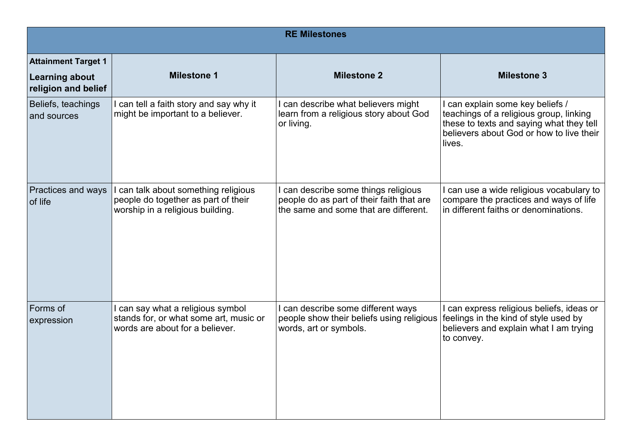| <b>RE Milestones</b>                                                       |                                                                                                               |                                                                                                                            |                                                                                                                                                                             |  |
|----------------------------------------------------------------------------|---------------------------------------------------------------------------------------------------------------|----------------------------------------------------------------------------------------------------------------------------|-----------------------------------------------------------------------------------------------------------------------------------------------------------------------------|--|
| <b>Attainment Target 1</b><br><b>Learning about</b><br>religion and belief | <b>Milestone 1</b>                                                                                            | <b>Milestone 2</b>                                                                                                         | <b>Milestone 3</b>                                                                                                                                                          |  |
| Beliefs, teachings<br>and sources                                          | can tell a faith story and say why it<br>might be important to a believer.                                    | I can describe what believers might<br>learn from a religious story about God<br>or living.                                | can explain some key beliefs /<br>teachings of a religious group, linking<br>these to texts and saying what they tell<br>believers about God or how to live their<br>lives. |  |
| Practices and ways<br>of life                                              | can talk about something religious<br>people do together as part of their<br>worship in a religious building. | I can describe some things religious<br>people do as part of their faith that are<br>the same and some that are different. | can use a wide religious vocabulary to<br>compare the practices and ways of life<br>in different faiths or denominations.                                                   |  |
| Forms of<br>expression                                                     | can say what a religious symbol<br>stands for, or what some art, music or<br>words are about for a believer.  | I can describe some different ways<br>people show their beliefs using religious<br>words, art or symbols.                  | can express religious beliefs, ideas or<br>feelings in the kind of style used by<br>believers and explain what I am trying<br>to convey.                                    |  |